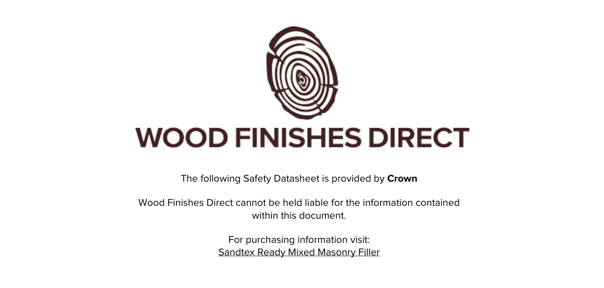

The following Safety Datasheet is provided by **Crown**

Wood Finishes Direct cannot be held liable for the information contained within this document

> For purchasing information visit: [Sandtex Ready Mixed Masonry Filler](https://www.wood-finishes-direct.com/product/sandtex-ready-mixed-masonry-filler)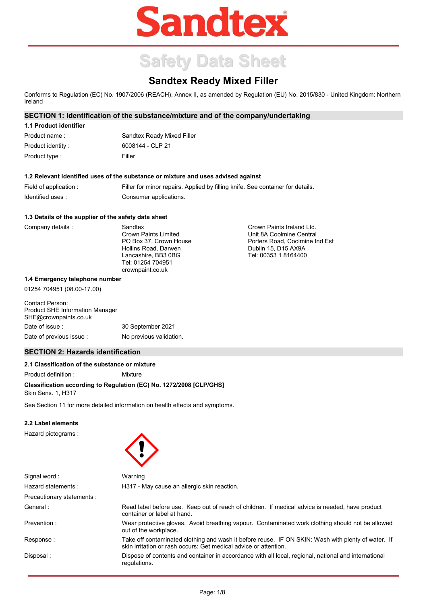# **Sandtex**

## **Safety Data Sheet**

### **Sandtex Ready Mixed Filler**

Conforms to Regulation (EC) No. 1907/2006 (REACH), Annex II, as amended by Regulation (EU) No. 2015/830 - United Kingdom: Northern Ireland

> Crown Paints Ireland Ltd. Unit 8A Coolmine Central Porters Road, Coolmine Ind Est

Dublin 15, D15 AX9A Tel: 00353 1 8164400

#### **SECTION 1: Identification of the substance/mixture and of the company/undertaking**

#### **1.1 Product identifier**

| Product name :     | Sandtex Ready Mixed Filler |
|--------------------|----------------------------|
| Product identity : | 6008144 - CLP 21           |
| Product type :     | Filler                     |

#### **1.2 Relevant identified uses of the substance or mixture and uses advised against**

| Field of application: | Filler for minor repairs. Applied by filling knife. See container for details. |
|-----------------------|--------------------------------------------------------------------------------|
| Identified uses :     | Consumer applications.                                                         |

#### **1.3 Details of the supplier of the safety data sheet**

Company details :

**Sandtex** Crown Paints Limited PO Box 37, Crown House Hollins Road, Darwen Lancashire, BB3 0BG Tel: 01254 704951 crownpaint.co.uk

#### **1.4 Emergency telephone number**

01254 704951 (08.00-17.00)

#### Contact Person: Product SHE Information Manager SHE@crownpaints.co.uk Date of issue : 30 September 2021 Date of previous issue : No previous validation.

#### **SECTION 2: Hazards identification**

#### **2.1 Classification of the substance or mixture**

Product definition : Mixture

#### **Classification according to Regulation (EC) No. 1272/2008 [CLP/GHS]**

Skin Sens. 1, H317

See Section 11 for more detailed information on health effects and symptoms.

#### **2.2 Label elements**

Hazard pictograms :



| Signal word:               | Warning                                                                                                                                                                |
|----------------------------|------------------------------------------------------------------------------------------------------------------------------------------------------------------------|
| Hazard statements:         | H317 - May cause an allergic skin reaction.                                                                                                                            |
| Precautionary statements : |                                                                                                                                                                        |
| General:                   | Read label before use. Keep out of reach of children. If medical advice is needed, have product<br>container or label at hand.                                         |
| Prevention:                | Wear protective gloves. Avoid breathing vapour. Contaminated work clothing should not be allowed<br>out of the workplace.                                              |
| Response:                  | Take off contaminated clothing and wash it before reuse. IF ON SKIN: Wash with plenty of water. If<br>skin irritation or rash occurs: Get medical advice or attention. |
| Disposal:                  | Dispose of contents and container in accordance with all local, regional, national and international<br>regulations.                                                   |
|                            |                                                                                                                                                                        |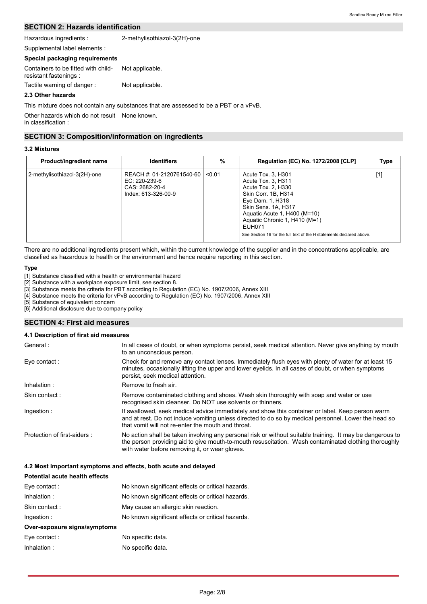#### **SECTION 2: Hazards identification**

Hazardous ingredients : 2-methylisothiazol-3(2H)-one

#### **Special packaging requirements**

| Supplemental label elements :                                 |                 |
|---------------------------------------------------------------|-----------------|
| Special packaging reguirements                                |                 |
| Containers to be fitted with child-<br>resistant fastenings : | Not applicable. |
| Tactile warning of danger:                                    | Not applicable. |

#### **2.3 Other hazards**

This mixture does not contain any substances that are assessed to be a PBT or a vPvB.

Other hazards which do not result None known. in classification :

#### **SECTION 3: Composition/information on ingredients**

#### **3.2 Mixtures**

| Product/ingredient name      | <b>Identifiers</b>                                                                    | %      | Regulation (EC) No. 1272/2008 [CLP]                                                                                                                                                                                                                                                 | <b>Type</b> |
|------------------------------|---------------------------------------------------------------------------------------|--------|-------------------------------------------------------------------------------------------------------------------------------------------------------------------------------------------------------------------------------------------------------------------------------------|-------------|
| 2-methylisothiazol-3(2H)-one | REACH #: 01-2120761540-60  <br>EC: 220-239-6<br>CAS: 2682-20-4<br>Index: 613-326-00-9 | < 0.01 | Acute Tox. 3, H301<br>Acute Tox. 3, H311<br>Acute Tox. 2, H330<br>Skin Corr. 1B, H314<br>Eye Dam. 1, H318<br>Skin Sens. 1A, H317<br>Aquatic Acute 1, H400 (M=10)<br>Aquatic Chronic 1, H410 (M=1)<br>EUH071<br>See Section 16 for the full text of the H statements declared above. | $[1]$       |

There are no additional ingredients present which, within the current knowledge of the supplier and in the concentrations applicable, are classified as hazardous to health or the environment and hence require reporting in this section.

#### **Type**

[1] Substance classified with a health or environmental hazard

[2] Substance with a workplace exposure limit, see section 8.

[3] Substance meets the criteria for PBT according to Regulation (EC) No. 1907/2006, Annex XIII

[4] Substance meets the criteria for vPvB according to Regulation (EC) No. 1907/2006, Annex XIII

[5] Substance of equivalent concern

[6] Additional disclosure due to company policy

#### **SECTION 4: First aid measures**

#### **4.1 Description of first aid measures**

| General:                    | In all cases of doubt, or when symptoms persist, seek medical attention. Never give anything by mouth<br>to an unconscious person.                                                                                                                                  |
|-----------------------------|---------------------------------------------------------------------------------------------------------------------------------------------------------------------------------------------------------------------------------------------------------------------|
| Eye contact:                | Check for and remove any contact lenses. Immediately flush eyes with plenty of water for at least 15<br>minutes, occasionally lifting the upper and lower eyelids. In all cases of doubt, or when symptoms<br>persist, seek medical attention.                      |
| Inhalation:                 | Remove to fresh air.                                                                                                                                                                                                                                                |
| Skin contact:               | Remove contaminated clothing and shoes. Wash skin thoroughly with soap and water or use<br>recognised skin cleanser. Do NOT use solvents or thinners.                                                                                                               |
| Ingestion:                  | If swallowed, seek medical advice immediately and show this container or label. Keep person warm<br>and at rest. Do not induce vomiting unless directed to do so by medical personnel. Lower the head so<br>that vomit will not re-enter the mouth and throat.      |
| Protection of first-aiders: | No action shall be taken involving any personal risk or without suitable training. It may be dangerous to<br>the person providing aid to give mouth-to-mouth resuscitation. Wash contaminated clothing thoroughly<br>with water before removing it, or wear gloves. |

#### **4.2 Most important symptoms and effects, both acute and delayed**

| Potential acute health effects |                                                   |
|--------------------------------|---------------------------------------------------|
| Eye contact:                   | No known significant effects or critical hazards. |
| Inhalation:                    | No known significant effects or critical hazards. |
| Skin contact:                  | May cause an allergic skin reaction.              |
| Ingestion:                     | No known significant effects or critical hazards. |
| Over-exposure signs/symptoms   |                                                   |
| Eye contact:                   | No specific data.                                 |
| Inhalation:                    | No specific data.                                 |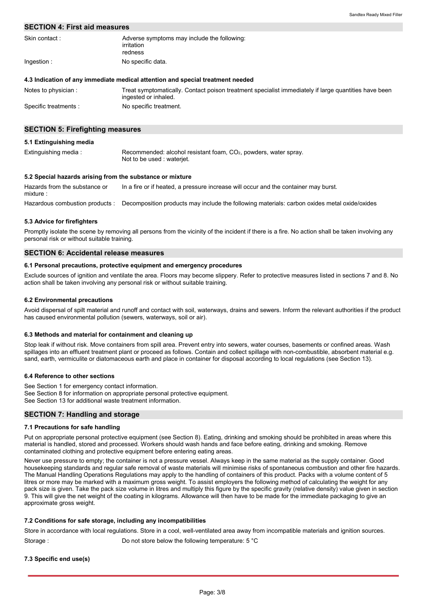#### **SECTION 4: First aid measures**

| Skin contact: | Adverse symptoms may include the following:<br>irritation |
|---------------|-----------------------------------------------------------|
|               | redness                                                   |
| Ingestion:    | No specific data.                                         |

#### **4.3 Indication of any immediate medical attention and special treatment needed**

| Notes to physician:   | Treat symptomatically. Contact poison treatment specialist immediately if large quantities have been<br>ingested or inhaled. |
|-----------------------|------------------------------------------------------------------------------------------------------------------------------|
| Specific treatments : | No specific treatment.                                                                                                       |

#### **SECTION 5: Firefighting measures**

| 5.1 Extinguishing media |                                                                                                 |
|-------------------------|-------------------------------------------------------------------------------------------------|
| Extinguishing media:    | Recommended: alcohol resistant foam, $CO2$ , powders, water spray.<br>Not to be used: waterjet. |

#### **5.2 Special hazards arising from the substance or mixture**

Hazardous combustion products : Decomposition products may include the following materials: carbon oxides metal oxide/oxides Hazards from the substance or mixture : In a fire or if heated, a pressure increase will occur and the container may burst.

#### **5.3 Advice for firefighters**

Promptly isolate the scene by removing all persons from the vicinity of the incident if there is a fire. No action shall be taken involving any personal risk or without suitable training.

#### **SECTION 6: Accidental release measures**

#### **6.1 Personal precautions, protective equipment and emergency procedures**

Exclude sources of ignition and ventilate the area. Floors may become slippery. Refer to protective measures listed in sections 7 and 8. No action shall be taken involving any personal risk or without suitable training.

#### **6.2 Environmental precautions**

Avoid dispersal of spilt material and runoff and contact with soil, waterways, drains and sewers. Inform the relevant authorities if the product has caused environmental pollution (sewers, waterways, soil or air).

#### **6.3 Methods and material for containment and cleaning up**

Stop leak if without risk. Move containers from spill area. Prevent entry into sewers, water courses, basements or confined areas. Wash spillages into an effluent treatment plant or proceed as follows. Contain and collect spillage with non-combustible, absorbent material e.g. sand, earth, vermiculite or diatomaceous earth and place in container for disposal according to local regulations (see Section 13).

#### **6.4 Reference to other sections**

See Section 1 for emergency contact information. See Section 8 for information on appropriate personal protective equipment. See Section 13 for additional waste treatment information.

#### **SECTION 7: Handling and storage**

#### **7.1 Precautions for safe handling**

Put on appropriate personal protective equipment (see Section 8). Eating, drinking and smoking should be prohibited in areas where this material is handled, stored and processed. Workers should wash hands and face before eating, drinking and smoking. Remove contaminated clothing and protective equipment before entering eating areas.

Never use pressure to empty; the container is not a pressure vessel. Always keep in the same material as the supply container. Good housekeeping standards and regular safe removal of waste materials will minimise risks of spontaneous combustion and other fire hazards. The Manual Handling Operations Regulations may apply to the handling of containers of this product. Packs with a volume content of 5 litres or more may be marked with a maximum gross weight. To assist employers the following method of calculating the weight for any pack size is given. Take the pack size volume in litres and multiply this figure by the specific gravity (relative density) value given in section 9. This will give the net weight of the coating in kilograms. Allowance will then have to be made for the immediate packaging to give an approximate gross weight.

#### **7.2 Conditions for safe storage, including any incompatibilities**

Store in accordance with local regulations. Store in a cool, well-ventilated area away from incompatible materials and ignition sources. Storage : Do not store below the following temperature: 5 °C

#### **7.3 Specific end use(s)**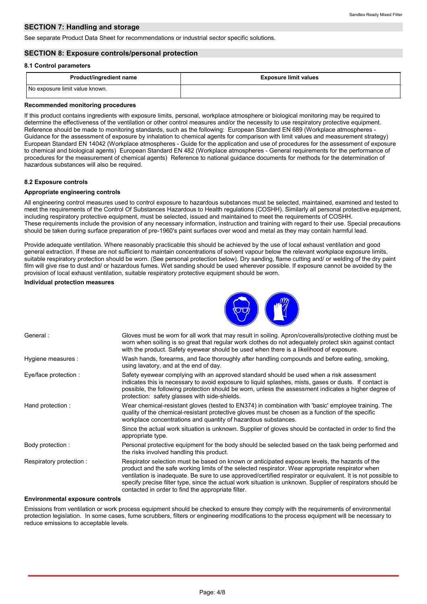#### **SECTION 7: Handling and storage**

See separate Product Data Sheet for recommendations or industrial sector specific solutions.

#### **SECTION 8: Exposure controls/personal protection**

#### **8.1 Control parameters**

| <b>Product/ingredient name</b> | <b>Exposure limit values</b> |
|--------------------------------|------------------------------|
| No exposure limit value known. |                              |

#### **Recommended monitoring procedures**

If this product contains ingredients with exposure limits, personal, workplace atmosphere or biological monitoring may be required to determine the effectiveness of the ventilation or other control measures and/or the necessity to use respiratory protective equipment. Reference should be made to monitoring standards, such as the following: European Standard EN 689 (Workplace atmospheres - Guidance for the assessment of exposure by inhalation to chemical agents for comparison with limit values and measurement strategy) European Standard EN 14042 (Workplace atmospheres - Guide for the application and use of procedures for the assessment of exposure to chemical and biological agents) European Standard EN 482 (Workplace atmospheres - General requirements for the performance of procedures for the measurement of chemical agents) Reference to national guidance documents for methods for the determination of hazardous substances will also be required.

#### **8.2 Exposure controls**

#### **Appropriate engineering controls**

All engineering control measures used to control exposure to hazardous substances must be selected, maintained, examined and tested to meet the requirements of the Control Of Substances Hazardous to Health regulations (COSHH). Similarly all personal protective equipment, including respiratory protective equipment, must be selected, issued and maintained to meet the requirements of COSHH. These requirements include the provision of any necessary information, instruction and training with regard to their use. Special precautions should be taken during surface preparation of pre-1960's paint surfaces over wood and metal as they may contain harmful lead.

Provide adequate ventilation. Where reasonably practicable this should be achieved by the use of local exhaust ventilation and good general extraction. If these are not sufficient to maintain concentrations of solvent vapour below the relevant workplace exposure limits, suitable respiratory protection should be worn. (See personal protection below). Dry sanding, flame cutting and/ or welding of the dry paint film will give rise to dust and/ or hazardous fumes. Wet sanding should be used wherever possible. If exposure cannot be avoided by the provision of local exhaust ventilation, suitable respiratory protective equipment should be worn.

#### **Individual protection measures**



| General:                | Gloves must be worn for all work that may result in soiling. Apron/coveralls/protective clothing must be<br>worn when soiling is so great that regular work clothes do not adequately protect skin against contact<br>with the product. Safety eyewear should be used when there is a likelihood of exposure.                                                                                                                                                                          |
|-------------------------|----------------------------------------------------------------------------------------------------------------------------------------------------------------------------------------------------------------------------------------------------------------------------------------------------------------------------------------------------------------------------------------------------------------------------------------------------------------------------------------|
| Hygiene measures :      | Wash hands, forearms, and face thoroughly after handling compounds and before eating, smoking,<br>using lavatory, and at the end of day.                                                                                                                                                                                                                                                                                                                                               |
| Eye/face protection :   | Safety eyewear complying with an approved standard should be used when a risk assessment<br>indicates this is necessary to avoid exposure to liquid splashes, mists, gases or dusts. If contact is<br>possible, the following protection should be worn, unless the assessment indicates a higher degree of<br>protection: safety glasses with side-shields.                                                                                                                           |
| Hand protection:        | Wear chemical-resistant gloves (tested to EN374) in combination with 'basic' employee training. The<br>quality of the chemical-resistant protective gloves must be chosen as a function of the specific<br>workplace concentrations and quantity of hazardous substances.                                                                                                                                                                                                              |
|                         | Since the actual work situation is unknown. Supplier of gloves should be contacted in order to find the<br>appropriate type.                                                                                                                                                                                                                                                                                                                                                           |
| Body protection :       | Personal protective equipment for the body should be selected based on the task being performed and<br>the risks involved handling this product.                                                                                                                                                                                                                                                                                                                                       |
| Respiratory protection: | Respirator selection must be based on known or anticipated exposure levels, the hazards of the<br>product and the safe working limits of the selected respirator. Wear appropriate respirator when<br>ventilation is inadequate. Be sure to use approved/certified respirator or equivalent. It is not possible to<br>specify precise filter type, since the actual work situation is unknown. Supplier of respirators should be<br>contacted in order to find the appropriate filter. |

#### **Environmental exposure controls**

Emissions from ventilation or work process equipment should be checked to ensure they comply with the requirements of environmental protection legislation. In some cases, fume scrubbers, filters or engineering modifications to the process equipment will be necessary to reduce emissions to acceptable levels.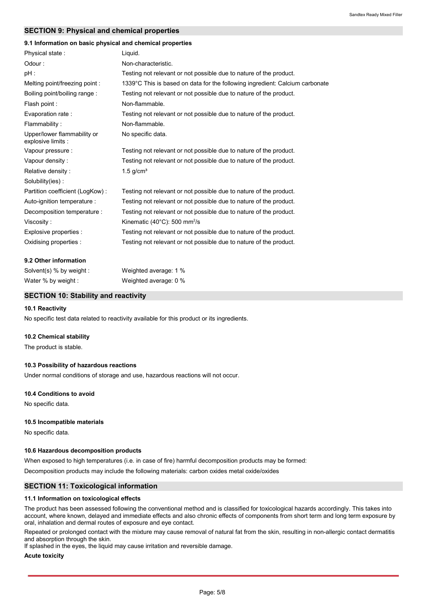#### **SECTION 9: Physical and chemical properties**

#### **9.1 Information on basic physical and chemical properties**

| Physical state:                                   | Liquid.                                                                      |
|---------------------------------------------------|------------------------------------------------------------------------------|
| Odour:                                            | Non-characteristic.                                                          |
| pH :                                              | Testing not relevant or not possible due to nature of the product.           |
| Melting point/freezing point :                    | 1339°C This is based on data for the following ingredient: Calcium carbonate |
| Boiling point/boiling range:                      | Testing not relevant or not possible due to nature of the product.           |
| Flash point :                                     | Non-flammable.                                                               |
| Evaporation rate:                                 | Testing not relevant or not possible due to nature of the product.           |
| Flammability:                                     | Non-flammable.                                                               |
| Upper/lower flammability or<br>explosive limits : | No specific data.                                                            |
| Vapour pressure :                                 | Testing not relevant or not possible due to nature of the product.           |
| Vapour density:                                   | Testing not relevant or not possible due to nature of the product.           |
| Relative density:                                 | $1.5$ g/cm <sup>3</sup>                                                      |
| Solubility(ies):                                  |                                                                              |
| Partition coefficient (LogKow):                   | Testing not relevant or not possible due to nature of the product.           |
| Auto-ignition temperature :                       | Testing not relevant or not possible due to nature of the product.           |
| Decomposition temperature :                       | Testing not relevant or not possible due to nature of the product.           |
| Viscosity:                                        | Kinematic (40°C): 500 mm <sup>2</sup> /s                                     |
| Explosive properties :                            | Testing not relevant or not possible due to nature of the product.           |
| Oxidising properties :                            | Testing not relevant or not possible due to nature of the product.           |
| 9.2 Other information                             |                                                                              |

| Solvent(s) $%$ by weight | Weighted average: 1 % |
|--------------------------|-----------------------|
| Water % by weight :      | Weighted average: 0 % |

#### **SECTION 10: Stability and reactivity**

#### **10.1 Reactivity**

No specific test data related to reactivity available for this product or its ingredients.

#### **10.2 Chemical stability**

The product is stable.

#### **10.3 Possibility of hazardous reactions**

Under normal conditions of storage and use, hazardous reactions will not occur.

#### **10.4 Conditions to avoid**

No specific data.

#### **10.5 Incompatible materials**

No specific data.

#### **10.6 Hazardous decomposition products**

When exposed to high temperatures (i.e. in case of fire) harmful decomposition products may be formed:

Decomposition products may include the following materials: carbon oxides metal oxide/oxides

#### **SECTION 11: Toxicological information**

#### **11.1 Information on toxicological effects**

The product has been assessed following the conventional method and is classified for toxicological hazards accordingly. This takes into account, where known, delayed and immediate effects and also chronic effects of components from short term and long term exposure by oral, inhalation and dermal routes of exposure and eye contact.

Repeated or prolonged contact with the mixture may cause removal of natural fat from the skin, resulting in non-allergic contact dermatitis and absorption through the skin.

If splashed in the eyes, the liquid may cause irritation and reversible damage.

#### **Acute toxicity**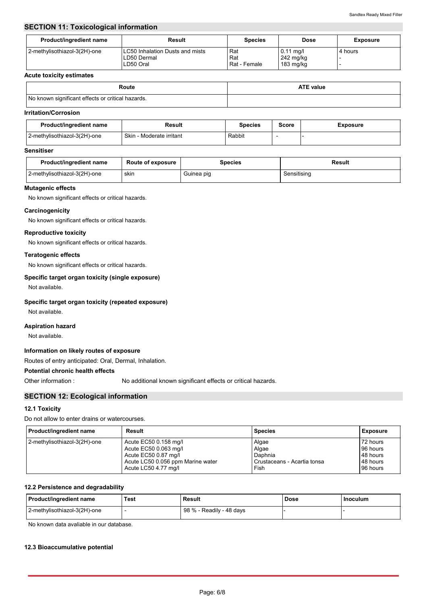#### **SECTION 11: Toxicological information**

| Product/ingredient name      | Result                                                             | <b>Species</b>             | <b>Dose</b>                           | <b>Exposure</b> |
|------------------------------|--------------------------------------------------------------------|----------------------------|---------------------------------------|-----------------|
| 2-methylisothiazol-3(2H)-one | <b>LC50 Inhalation Dusts and mists</b><br>LD50 Dermal<br>LD50 Oral | Rat<br>Rat<br>Rat - Female | $0.11$ mg/l<br>242 mg/kg<br>183 mg/kg | 4 hours         |

#### **Acute toxicity estimates**

| Route                                             | <b>ATE value</b> |
|---------------------------------------------------|------------------|
| No known significant effects or critical hazards. |                  |

#### **Irritation/Corrosion**

| Product/ingredient name      | Result                   | Species | <b>Score</b> | <b>Exposure</b> |
|------------------------------|--------------------------|---------|--------------|-----------------|
| 2-methylisothiazol-3(2H)-one | Skin - Moderate irritant | Rabbit  |              |                 |

#### **Sensitiser**

| Product/ingredient name      | <b>Route of exposure</b> | Species    | Result      |
|------------------------------|--------------------------|------------|-------------|
| 2-methylisothiazol-3(2H)-one | skin                     | Guinea pig | Sensitisina |

#### **Mutagenic effects**

No known significant effects or critical hazards.

#### **Carcinogenicity**

No known significant effects or critical hazards.

#### **Reproductive toxicity**

No known significant effects or critical hazards.

#### **Teratogenic effects**

No known significant effects or critical hazards.

#### **Specific target organ toxicity (single exposure)**

Not available.

#### **Specific target organ toxicity (repeated exposure)**

Not available.

#### **Aspiration hazard**

Not available.

#### **Information on likely routes of exposure**

Routes of entry anticipated: Oral, Dermal, Inhalation.

#### **Potential chronic health effects**

Other information :

No additional known significant effects or critical hazards.

#### **SECTION 12: Ecological information**

#### **12.1 Toxicity**

Do not allow to enter drains or watercourses.

| Product/ingredient name      | Result                            | <b>Species</b>              | Exposure |
|------------------------------|-----------------------------------|-----------------------------|----------|
| 2-methylisothiazol-3(2H)-one | Acute EC50 0.158 mg/l             | Algae                       | 72 hours |
|                              | Acute EC50 0.063 mg/l             | Algae                       | 96 hours |
|                              | Acute EC50 0.87 mg/l              | Daphnia                     | 48 hours |
|                              | Acute LC50 0.056 ppm Marine water | Crustaceans - Acartia tonsa | 48 hours |
|                              | Acute LC50 4.77 mg/l              | Fish                        | 96 hours |

#### **12.2 Persistence and degradability**

| Product/ingredient name      | Test | Result                        | Dose | Inoculum |
|------------------------------|------|-------------------------------|------|----------|
| 2-methylisothiazol-3(2H)-one |      | 98 % -<br>- Readily - 48 days |      |          |

No known data avaliable in our database.

#### **12.3 Bioaccumulative potential**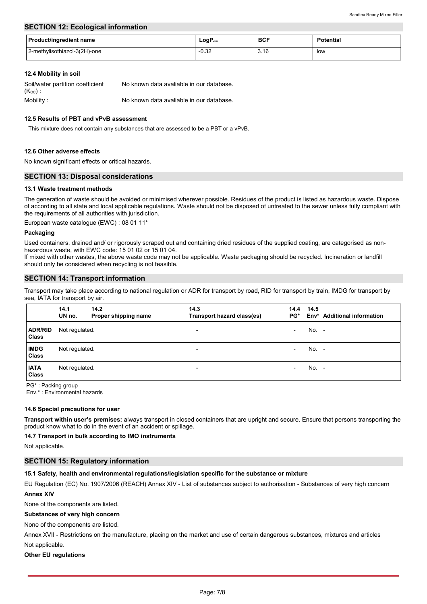#### **SECTION 12: Ecological information**

| <b>Product/ingredient name</b> | $LogP_{ow}$ | <b>BCF</b> | <b>Potential</b> |
|--------------------------------|-------------|------------|------------------|
| 2-methylisothiazol-3(2H)-one   | $-0.32$     | 3.16       | low              |

#### **12.4 Mobility in soil**

| Soil/water partition coefficient | No known data avaliable in our database. |
|----------------------------------|------------------------------------------|
| $(K_{OC})$ :                     |                                          |
| Mobility:                        | No known data avaliable in our database. |

#### **12.5 Results of PBT and vPvB assessment**

This mixture does not contain any substances that are assessed to be a PBT or a vPvB.

#### **12.6 Other adverse effects**

No known significant effects or critical hazards.

#### **SECTION 13: Disposal considerations**

#### **13.1 Waste treatment methods**

The generation of waste should be avoided or minimised wherever possible. Residues of the product is listed as hazardous waste. Dispose of according to all state and local applicable regulations. Waste should not be disposed of untreated to the sewer unless fully compliant with the requirements of all authorities with jurisdiction.

European waste catalogue (EWC) : 08 01 11\*

#### **Packaging**

Used containers, drained and/ or rigorously scraped out and containing dried residues of the supplied coating, are categorised as nonhazardous waste, with EWC code: 15 01 02 or 15 01 04.

If mixed with other wastes, the above waste code may not be applicable. Waste packaging should be recycled. Incineration or landfill should only be considered when recycling is not feasible.

#### **SECTION 14: Transport information**

Transport may take place according to national regulation or ADR for transport by road, RID for transport by train, IMDG for transport by sea, IATA for transport by air.

|                                | 14.1<br>UN no. | 14.2<br>Proper shipping name | 14.3<br>Transport hazard class(es) | 14.4<br>PG*              | 14.5  | Env* Additional information |
|--------------------------------|----------------|------------------------------|------------------------------------|--------------------------|-------|-----------------------------|
| <b>ADR/RID</b><br><b>Class</b> | Not regulated. |                              | $\overline{\phantom{a}}$           | -                        | No. - |                             |
| <b>IMDG</b><br><b>Class</b>    | Not regulated. |                              | $\overline{\phantom{a}}$           | $\overline{\phantom{0}}$ | No. - |                             |
| <b>IATA</b><br><b>Class</b>    | Not regulated. |                              | ۰                                  | $\overline{\phantom{0}}$ | No. - |                             |

PG\* : Packing group

Env.\* : Environmental hazards

#### **14.6 Special precautions for user**

**Transport within user's premises:** always transport in closed containers that are upright and secure. Ensure that persons transporting the product know what to do in the event of an accident or spillage.

**14.7 Transport in bulk according to IMO instruments**

Not applicable.

#### **SECTION 15: Regulatory information**

**15.1 Safety, health and environmental regulations/legislation specific for the substance or mixture**

EU Regulation (EC) No. 1907/2006 (REACH) Annex XIV - List of substances subject to authorisation - Substances of very high concern **Annex XIV**

None of the components are listed.

#### **Substances of very high concern**

None of the components are listed.

Not applicable. Annex XVII - Restrictions on the manufacture, placing on the market and use of certain dangerous substances, mixtures and articles

#### **Other EU regulations**